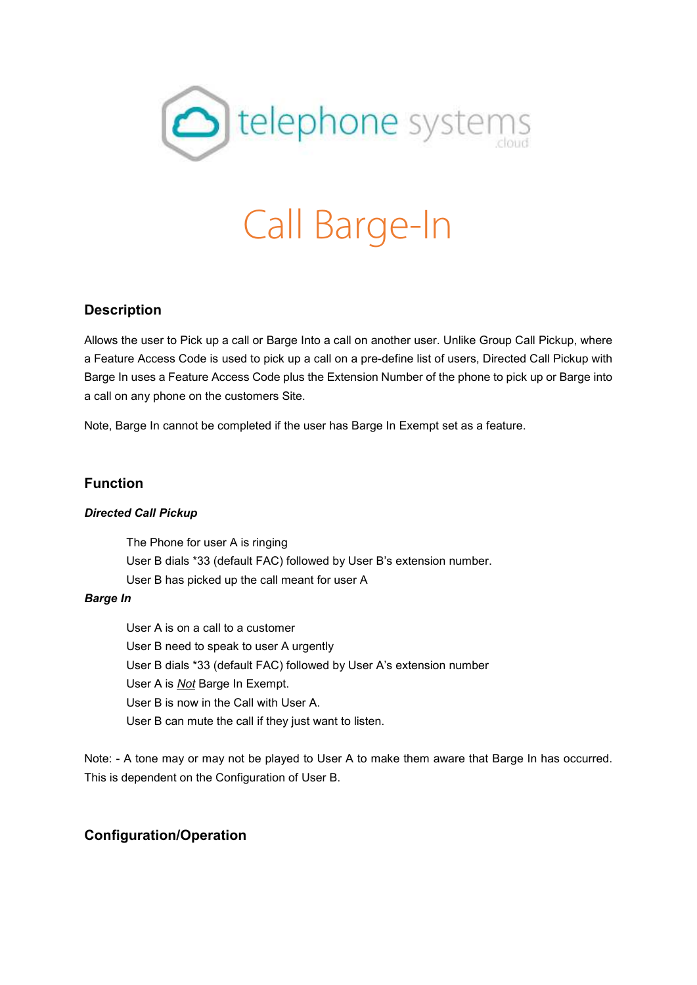

# Call Barge-In

# **Description**

Allows the user to Pick up a call or Barge Into a call on another user. Unlike Group Call Pickup, where a Feature Access Code is used to pick up a call on a pre-define list of users, Directed Call Pickup with Barge In uses a Feature Access Code plus the Extension Number of the phone to pick up or Barge into a call on any phone on the customers Site.

Note, Barge In cannot be completed if the user has Barge In Exempt set as a feature.

### **Function**

#### *Directed Call Pickup*

The Phone for user A is ringing User B dials \*33 (default FAC) followed by User B's extension number. User B has picked up the call meant for user A

#### *Barge In*

User A is on a call to a customer User B need to speak to user A urgently User B dials \*33 (default FAC) followed by User A's extension number User A is *Not* Barge In Exempt. User B is now in the Call with User A. User B can mute the call if they just want to listen.

Note: - A tone may or may not be played to User A to make them aware that Barge In has occurred. This is dependent on the Configuration of User B.

## **Configuration/Operation**